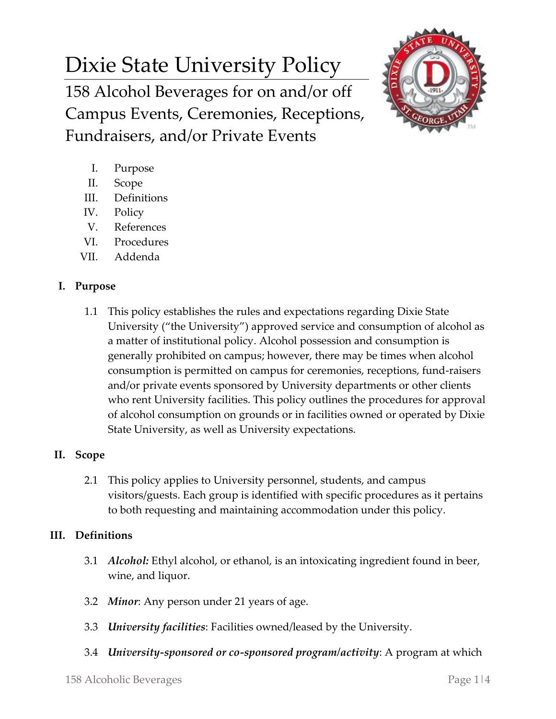# Dixie State University Policy

158 Alcohol Beverages for on and/or off Campus Events, Ceremonies, Receptions, Fundraisers, and/or Private Events



- I. Purpose
- II. Scope
- III. Definitions
- IV. Policy
- V. References
- VI. Procedures
- VII. Addenda

## **I. Purpose**

1.1 This policy establishes the rules and expectations regarding Dixie State University ("the University") approved service and consumption of alcohol as a matter of institutional policy. Alcohol possession and consumption is generally prohibited on campus; however, there may be times when alcohol consumption is permitted on campus for ceremonies, receptions, fund-raisers and/or private events sponsored by University departments or other clients who rent University facilities. This policy outlines the procedures for approval of alcohol consumption on grounds or in facilities owned or operated by Dixie State University, as well as University expectations.

## **II. Scope**

2.1 This policy applies to University personnel, students, and campus visitors/guests. Each group is identified with specific procedures as it pertains to both requesting and maintaining accommodation under this policy.

### **III. Definitions**

- 3.1 *Alcohol:* Ethyl alcohol, or ethanol, is an intoxicating ingredient found in beer, wine, and liquor.
- 3.2 *Minor*: Any person under 21 years of age.
- 3.3 *University facilities*: Facilities owned/leased by the University.
- 3.4 *University-sponsored or co-sponsored program/activity*: A program at which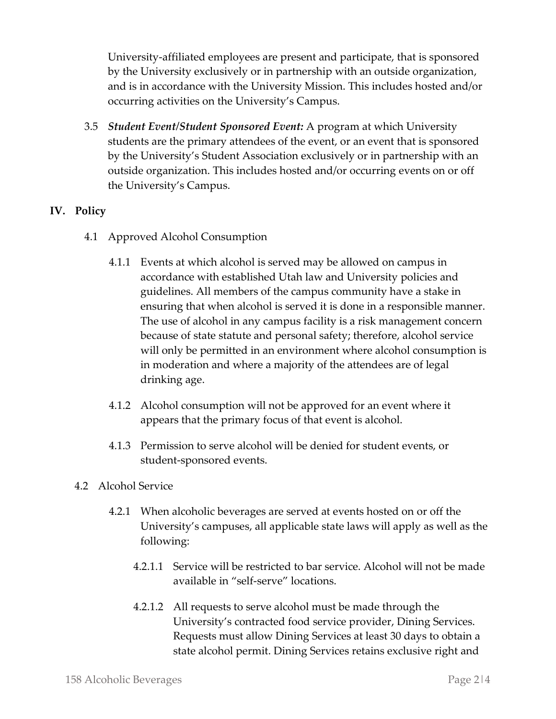University-affiliated employees are present and participate, that is sponsored by the University exclusively or in partnership with an outside organization, and is in accordance with the University Mission. This includes hosted and/or occurring activities on the University's Campus.

3.5 *Student Event/Student Sponsored Event:* A program at which University students are the primary attendees of the event, or an event that is sponsored by the University's Student Association exclusively or in partnership with an outside organization. This includes hosted and/or occurring events on or off the University's Campus.

### **IV. Policy**

- 4.1 Approved Alcohol Consumption
	- 4.1.1 Events at which alcohol is served may be allowed on campus in accordance with established Utah law and University policies and guidelines. All members of the campus community have a stake in ensuring that when alcohol is served it is done in a responsible manner. The use of alcohol in any campus facility is a risk management concern because of state statute and personal safety; therefore, alcohol service will only be permitted in an environment where alcohol consumption is in moderation and where a majority of the attendees are of legal drinking age.
	- 4.1.2 Alcohol consumption will not be approved for an event where it appears that the primary focus of that event is alcohol.
	- 4.1.3 Permission to serve alcohol will be denied for student events, or student-sponsored events.
- 4.2 Alcohol Service
	- 4.2.1 When alcoholic beverages are served at events hosted on or off the University's campuses, all applicable state laws will apply as well as the following:
		- 4.2.1.1 Service will be restricted to bar service. Alcohol will not be made available in "self-serve" locations.
		- 4.2.1.2 All requests to serve alcohol must be made through the University's contracted food service provider, Dining Services. Requests must allow Dining Services at least 30 days to obtain a state alcohol permit. Dining Services retains exclusive right and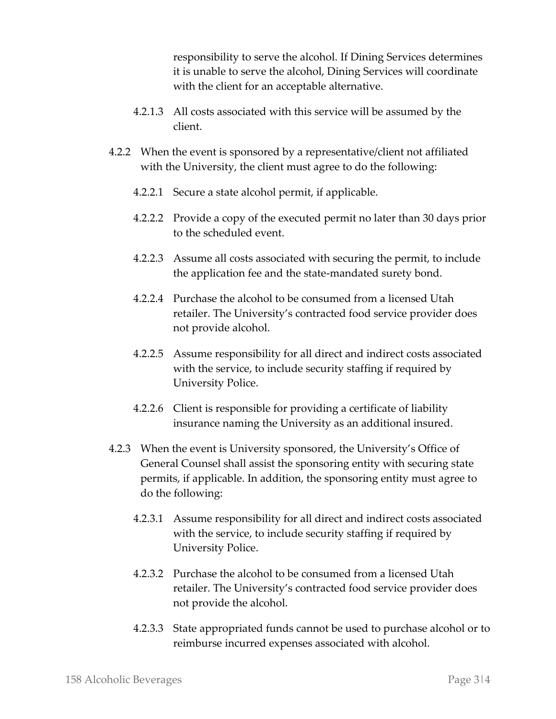responsibility to serve the alcohol. If Dining Services determines it is unable to serve the alcohol, Dining Services will coordinate with the client for an acceptable alternative.

- 4.2.1.3 All costs associated with this service will be assumed by the client.
- 4.2.2 When the event is sponsored by a representative/client not affiliated with the University, the client must agree to do the following:
	- 4.2.2.1 Secure a state alcohol permit, if applicable.
	- 4.2.2.2 Provide a copy of the executed permit no later than 30 days prior to the scheduled event.
	- 4.2.2.3 Assume all costs associated with securing the permit, to include the application fee and the state-mandated surety bond.
	- 4.2.2.4 Purchase the alcohol to be consumed from a licensed Utah retailer. The University's contracted food service provider does not provide alcohol.
	- 4.2.2.5 Assume responsibility for all direct and indirect costs associated with the service, to include security staffing if required by University Police.
	- 4.2.2.6 Client is responsible for providing a certificate of liability insurance naming the University as an additional insured.
- 4.2.3 When the event is University sponsored, the University's Office of General Counsel shall assist the sponsoring entity with securing state permits, if applicable. In addition, the sponsoring entity must agree to do the following:
	- 4.2.3.1 Assume responsibility for all direct and indirect costs associated with the service, to include security staffing if required by University Police.
	- 4.2.3.2 Purchase the alcohol to be consumed from a licensed Utah retailer. The University's contracted food service provider does not provide the alcohol.
	- 4.2.3.3 State appropriated funds cannot be used to purchase alcohol or to reimburse incurred expenses associated with alcohol.